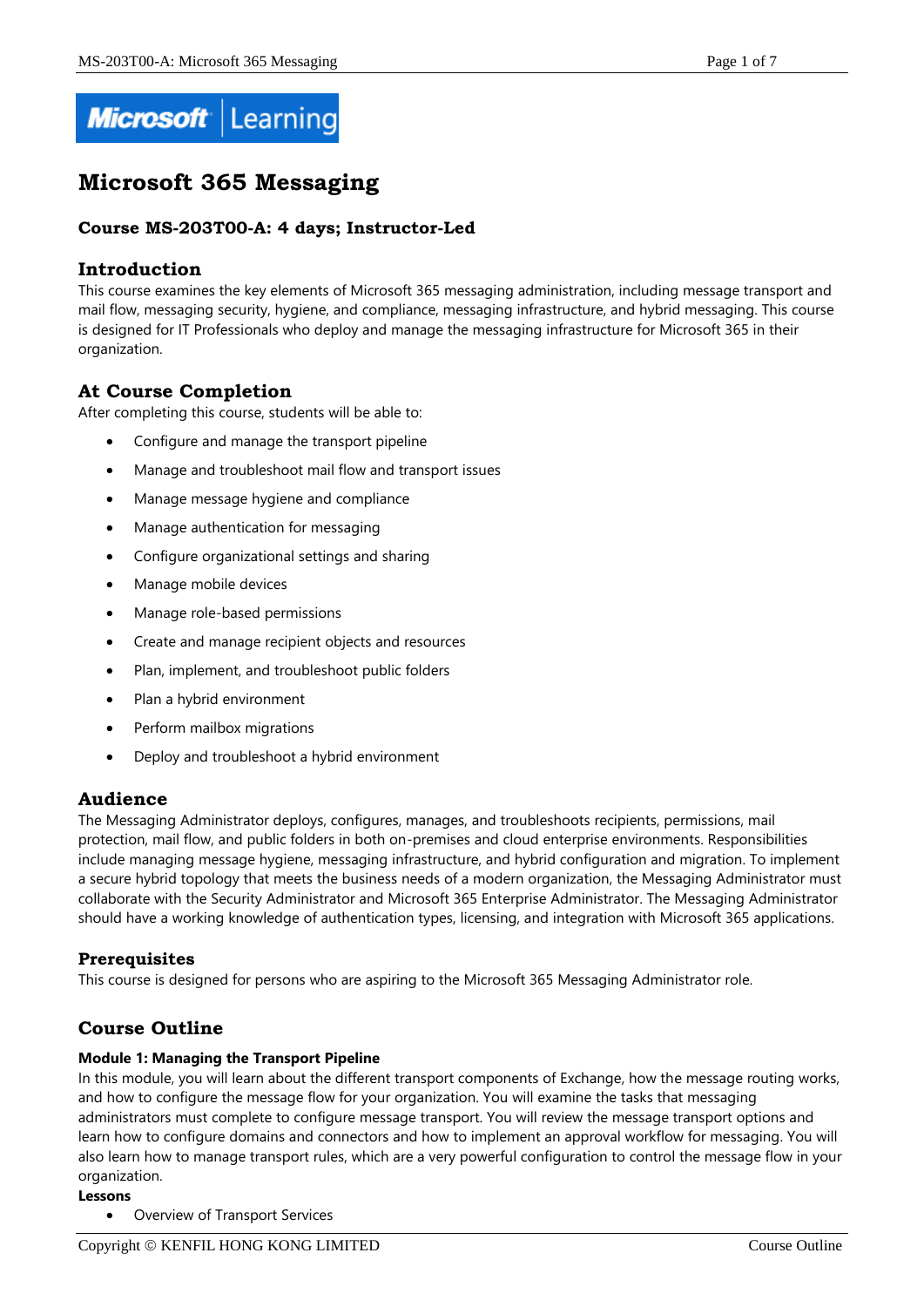

# **Microsoft 365 Messaging**

# **Course MS-203T00-A: 4 days; Instructor-Led**

# **Introduction**

This course examines the key elements of Microsoft 365 messaging administration, including message transport and mail flow, messaging security, hygiene, and compliance, messaging infrastructure, and hybrid messaging. This course is designed for IT Professionals who deploy and manage the messaging infrastructure for Microsoft 365 in their organization.

# **At Course Completion**

After completing this course, students will be able to:

- Configure and manage the transport pipeline
- Manage and troubleshoot mail flow and transport issues
- Manage message hygiene and compliance
- Manage authentication for messaging
- Configure organizational settings and sharing
- Manage mobile devices
- Manage role-based permissions
- Create and manage recipient objects and resources
- Plan, implement, and troubleshoot public folders
- Plan a hybrid environment
- Perform mailbox migrations
- Deploy and troubleshoot a hybrid environment

## **Audience**

The Messaging Administrator deploys, configures, manages, and troubleshoots recipients, permissions, mail protection, mail flow, and public folders in both on-premises and cloud enterprise environments. Responsibilities include managing message hygiene, messaging infrastructure, and hybrid configuration and migration. To implement a secure hybrid topology that meets the business needs of a modern organization, the Messaging Administrator must collaborate with the Security Administrator and Microsoft 365 Enterprise Administrator. The Messaging Administrator should have a working knowledge of authentication types, licensing, and integration with Microsoft 365 applications.

## **Prerequisites**

This course is designed for persons who are aspiring to the Microsoft 365 Messaging Administrator role.

# **Course Outline**

#### **Module 1: Managing the Transport Pipeline**

In this module, you will learn about the different transport components of Exchange, how the message routing works, and how to configure the message flow for your organization. You will examine the tasks that messaging administrators must complete to configure message transport. You will review the message transport options and learn how to configure domains and connectors and how to implement an approval workflow for messaging. You will also learn how to manage transport rules, which are a very powerful configuration to control the message flow in your organization.

#### **Lessons**

Overview of Transport Services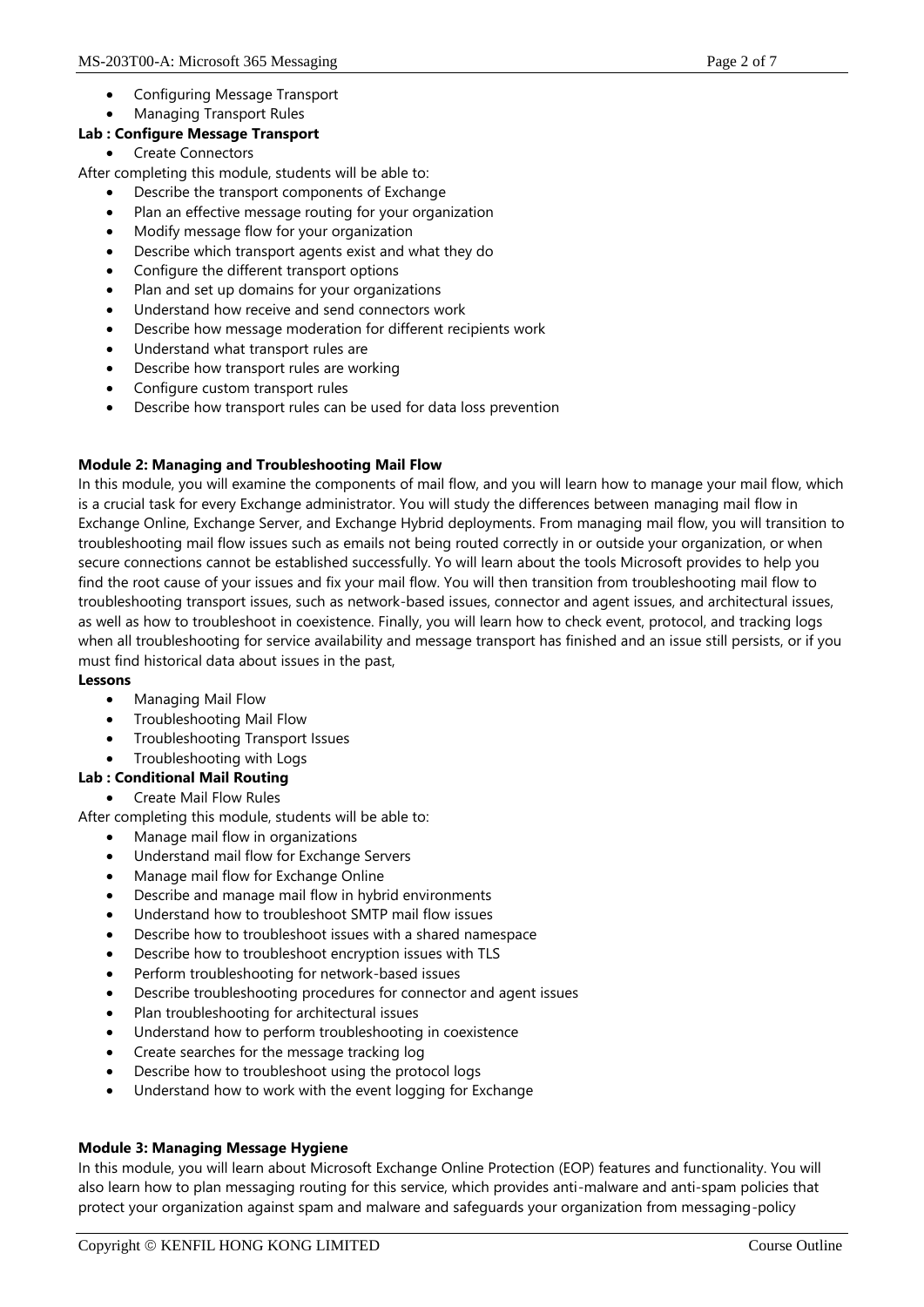- Configuring Message Transport
- Managing Transport Rules

## **Lab : Configure Message Transport**

Create Connectors

After completing this module, students will be able to:

- Describe the transport components of Exchange
- Plan an effective message routing for your organization
- Modify message flow for your organization
- Describe which transport agents exist and what they do
- Configure the different transport options
- Plan and set up domains for your organizations
- Understand how receive and send connectors work
- Describe how message moderation for different recipients work
- Understand what transport rules are
- Describe how transport rules are working
- Configure custom transport rules
- Describe how transport rules can be used for data loss prevention

#### **Module 2: Managing and Troubleshooting Mail Flow**

In this module, you will examine the components of mail flow, and you will learn how to manage your mail flow, which is a crucial task for every Exchange administrator. You will study the differences between managing mail flow in Exchange Online, Exchange Server, and Exchange Hybrid deployments. From managing mail flow, you will transition to troubleshooting mail flow issues such as emails not being routed correctly in or outside your organization, or when secure connections cannot be established successfully. Yo will learn about the tools Microsoft provides to help you find the root cause of your issues and fix your mail flow. You will then transition from troubleshooting mail flow to troubleshooting transport issues, such as network-based issues, connector and agent issues, and architectural issues, as well as how to troubleshoot in coexistence. Finally, you will learn how to check event, protocol, and tracking logs when all troubleshooting for service availability and message transport has finished and an issue still persists, or if you must find historical data about issues in the past,

#### **Lessons**

- Managing Mail Flow
- Troubleshooting Mail Flow
- Troubleshooting Transport Issues
- Troubleshooting with Logs

## **Lab : Conditional Mail Routing**

Create Mail Flow Rules

After completing this module, students will be able to:

- Manage mail flow in organizations
- Understand mail flow for Exchange Servers
- Manage mail flow for Exchange Online
- Describe and manage mail flow in hybrid environments
- Understand how to troubleshoot SMTP mail flow issues
- Describe how to troubleshoot issues with a shared namespace
- Describe how to troubleshoot encryption issues with TLS
- Perform troubleshooting for network-based issues
- Describe troubleshooting procedures for connector and agent issues
- Plan troubleshooting for architectural issues
- Understand how to perform troubleshooting in coexistence
- Create searches for the message tracking log
- Describe how to troubleshoot using the protocol logs
- Understand how to work with the event logging for Exchange

## **Module 3: Managing Message Hygiene**

In this module, you will learn about Microsoft Exchange Online Protection (EOP) features and functionality. You will also learn how to plan messaging routing for this service, which provides anti-malware and anti-spam policies that protect your organization against spam and malware and safeguards your organization from messaging-policy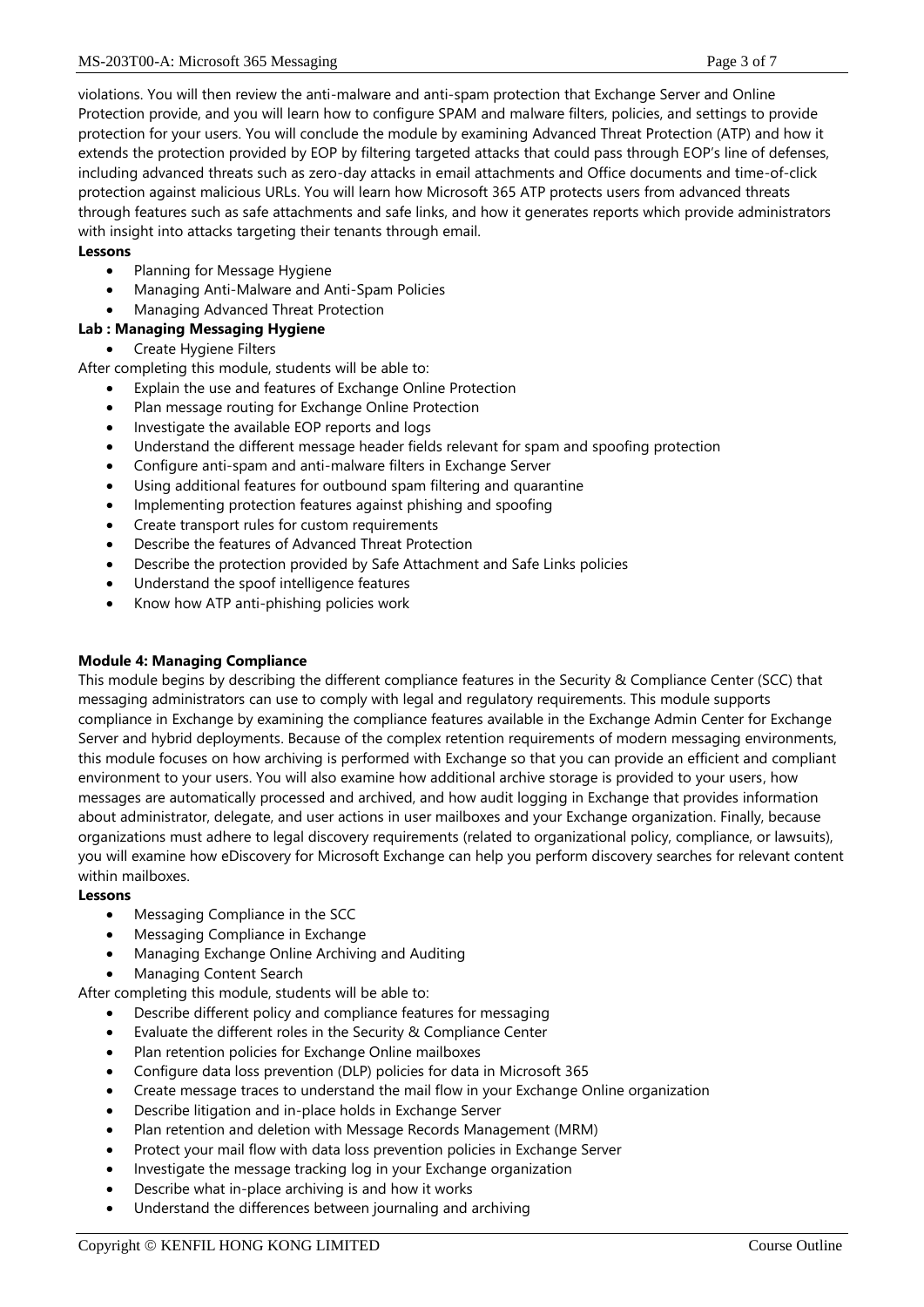violations. You will then review the anti-malware and anti-spam protection that Exchange Server and Online Protection provide, and you will learn how to configure SPAM and malware filters, policies, and settings to provide protection for your users. You will conclude the module by examining Advanced Threat Protection (ATP) and how it extends the protection provided by EOP by filtering targeted attacks that could pass through EOP's line of defenses, including advanced threats such as zero-day attacks in email attachments and Office documents and time-of-click protection against malicious URLs. You will learn how Microsoft 365 ATP protects users from advanced threats through features such as safe attachments and safe links, and how it generates reports which provide administrators with insight into attacks targeting their tenants through email.

## **Lessons**

- Planning for Message Hygiene
- Managing Anti-Malware and Anti-Spam Policies
- Managing Advanced Threat Protection

#### **Lab : Managing Messaging Hygiene**

Create Hygiene Filters

After completing this module, students will be able to:

- Explain the use and features of Exchange Online Protection
- Plan message routing for Exchange Online Protection
- Investigate the available EOP reports and logs
- Understand the different message header fields relevant for spam and spoofing protection
- Configure anti-spam and anti-malware filters in Exchange Server
- Using additional features for outbound spam filtering and quarantine
- Implementing protection features against phishing and spoofing
- Create transport rules for custom requirements
- Describe the features of Advanced Threat Protection
- Describe the protection provided by Safe Attachment and Safe Links policies
- Understand the spoof intelligence features
- Know how ATP anti-phishing policies work

#### **Module 4: Managing Compliance**

This module begins by describing the different compliance features in the Security & Compliance Center (SCC) that messaging administrators can use to comply with legal and regulatory requirements. This module supports compliance in Exchange by examining the compliance features available in the Exchange Admin Center for Exchange Server and hybrid deployments. Because of the complex retention requirements of modern messaging environments, this module focuses on how archiving is performed with Exchange so that you can provide an efficient and compliant environment to your users. You will also examine how additional archive storage is provided to your users, how messages are automatically processed and archived, and how audit logging in Exchange that provides information about administrator, delegate, and user actions in user mailboxes and your Exchange organization. Finally, because organizations must adhere to legal discovery requirements (related to organizational policy, compliance, or lawsuits), you will examine how eDiscovery for Microsoft Exchange can help you perform discovery searches for relevant content within mailboxes.

#### **Lessons**

- Messaging Compliance in the SCC
- Messaging Compliance in Exchange
- Managing Exchange Online Archiving and Auditing
- Managing Content Search

After completing this module, students will be able to:

- Describe different policy and compliance features for messaging
- Evaluate the different roles in the Security & Compliance Center
- Plan retention policies for Exchange Online mailboxes
- Configure data loss prevention (DLP) policies for data in Microsoft 365
- Create message traces to understand the mail flow in your Exchange Online organization
- Describe litigation and in-place holds in Exchange Server
- Plan retention and deletion with Message Records Management (MRM)
- Protect your mail flow with data loss prevention policies in Exchange Server
- Investigate the message tracking log in your Exchange organization
- Describe what in-place archiving is and how it works
- Understand the differences between journaling and archiving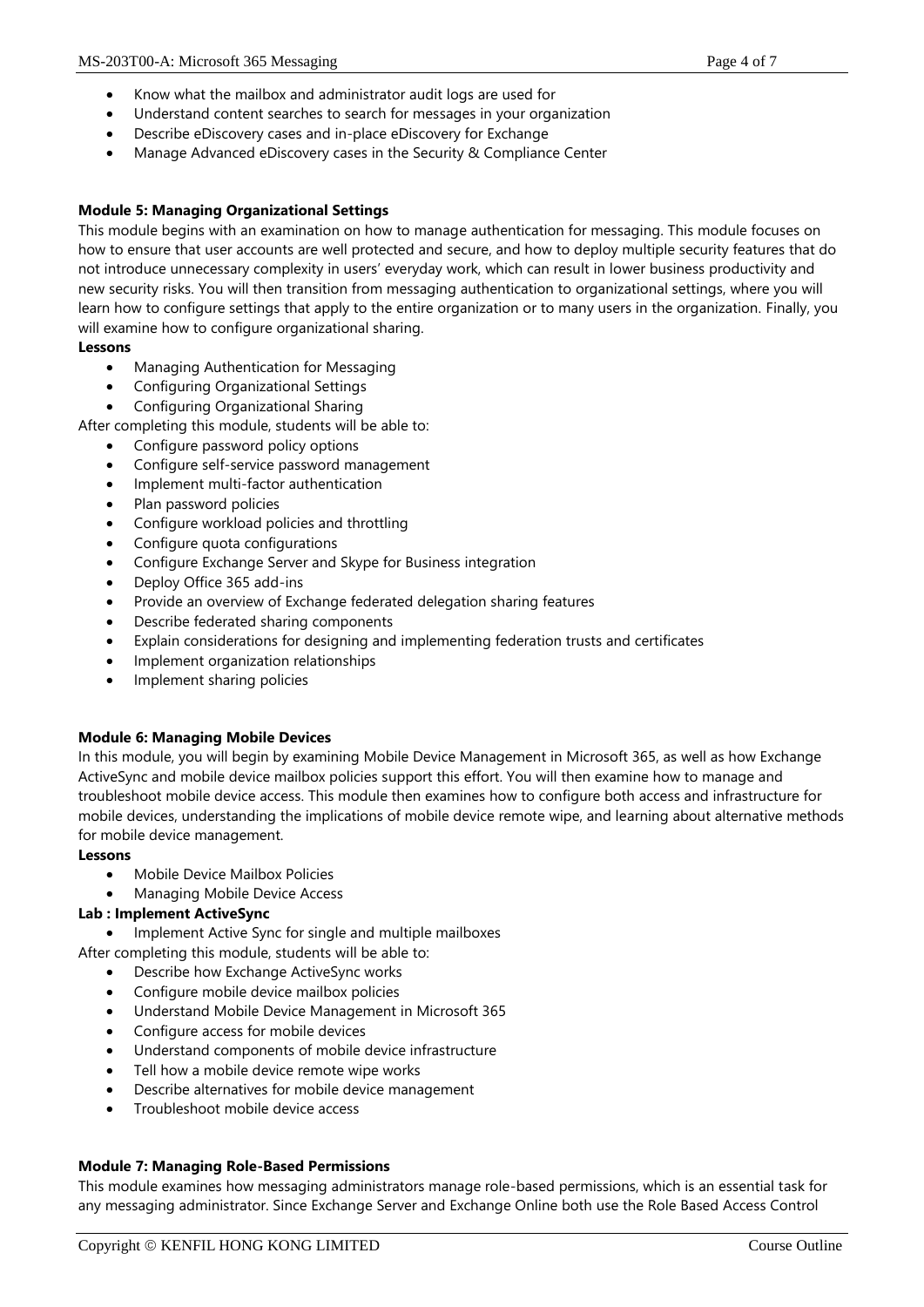- Know what the mailbox and administrator audit logs are used for
- Understand content searches to search for messages in your organization
- Describe eDiscovery cases and in-place eDiscovery for Exchange
- Manage Advanced eDiscovery cases in the Security & Compliance Center

## **Module 5: Managing Organizational Settings**

This module begins with an examination on how to manage authentication for messaging. This module focuses on how to ensure that user accounts are well protected and secure, and how to deploy multiple security features that do not introduce unnecessary complexity in users' everyday work, which can result in lower business productivity and new security risks. You will then transition from messaging authentication to organizational settings, where you will learn how to configure settings that apply to the entire organization or to many users in the organization. Finally, you will examine how to configure organizational sharing.

#### **Lessons**

- Managing Authentication for Messaging
- Configuring Organizational Settings
- Configuring Organizational Sharing

After completing this module, students will be able to:

- Configure password policy options
- Configure self-service password management
- Implement multi-factor authentication
- Plan password policies
- Configure workload policies and throttling
- Configure quota configurations
- Configure Exchange Server and Skype for Business integration
- Deploy Office 365 add-ins
- Provide an overview of Exchange federated delegation sharing features
- Describe federated sharing components
- Explain considerations for designing and implementing federation trusts and certificates
- Implement organization relationships
- Implement sharing policies

#### **Module 6: Managing Mobile Devices**

In this module, you will begin by examining Mobile Device Management in Microsoft 365, as well as how Exchange ActiveSync and mobile device mailbox policies support this effort. You will then examine how to manage and troubleshoot mobile device access. This module then examines how to configure both access and infrastructure for mobile devices, understanding the implications of mobile device remote wipe, and learning about alternative methods for mobile device management.

#### **Lessons**

- Mobile Device Mailbox Policies
- Managing Mobile Device Access

#### **Lab : Implement ActiveSync**

- Implement Active Sync for single and multiple mailboxes
- After completing this module, students will be able to:
	- Describe how Exchange ActiveSync works
	- Configure mobile device mailbox policies
	- Understand Mobile Device Management in Microsoft 365
	- Configure access for mobile devices
	- Understand components of mobile device infrastructure
	- Tell how a mobile device remote wipe works
	- Describe alternatives for mobile device management
	- Troubleshoot mobile device access

## **Module 7: Managing Role-Based Permissions**

This module examines how messaging administrators manage role-based permissions, which is an essential task for any messaging administrator. Since Exchange Server and Exchange Online both use the Role Based Access Control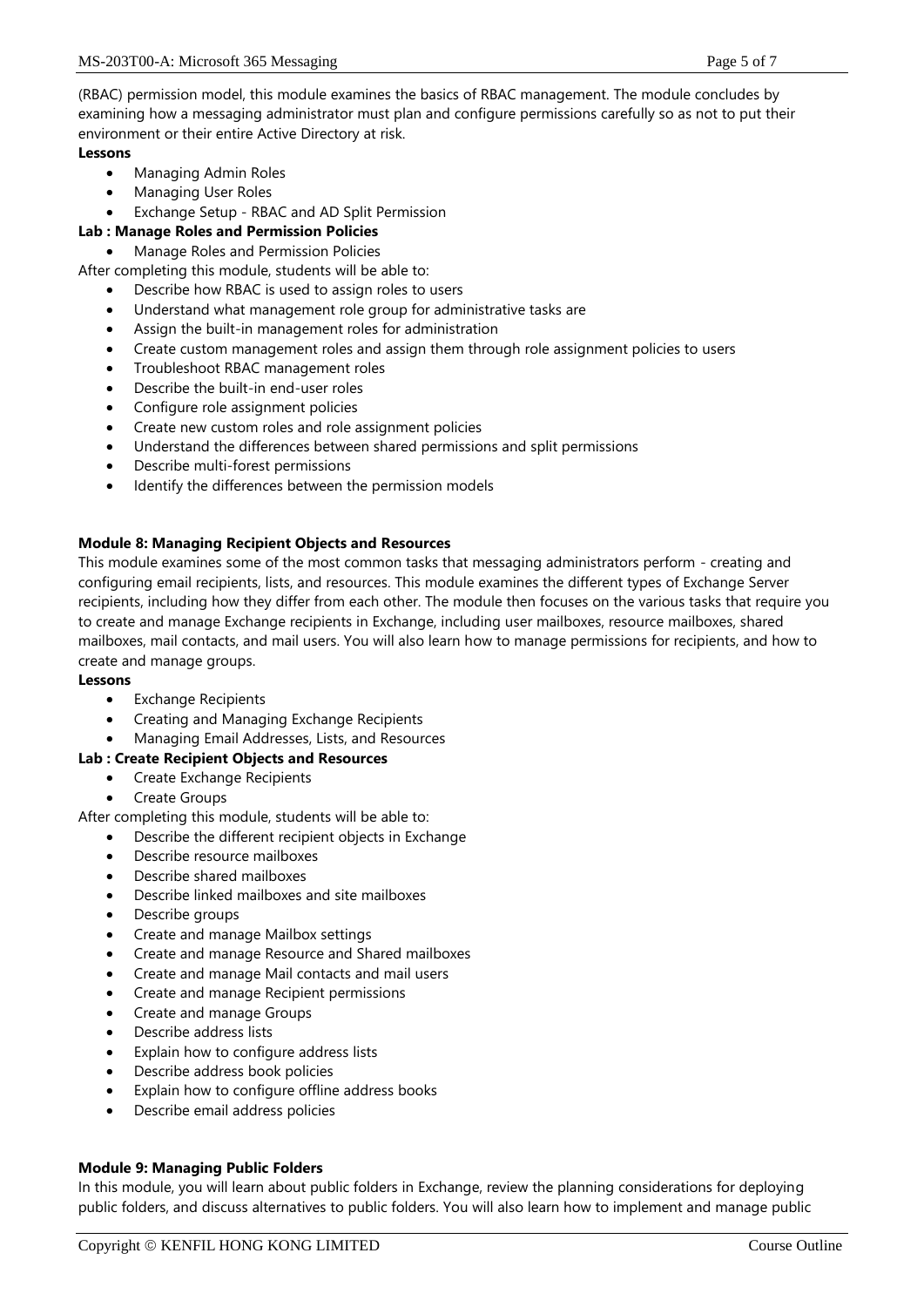(RBAC) permission model, this module examines the basics of RBAC management. The module concludes by examining how a messaging administrator must plan and configure permissions carefully so as not to put their environment or their entire Active Directory at risk.

## **Lessons**

- Managing Admin Roles
- Managing User Roles
- Exchange Setup RBAC and AD Split Permission

# **Lab : Manage Roles and Permission Policies**

Manage Roles and Permission Policies

After completing this module, students will be able to:

- Describe how RBAC is used to assign roles to users
- Understand what management role group for administrative tasks are
- Assign the built-in management roles for administration
- Create custom management roles and assign them through role assignment policies to users
- Troubleshoot RBAC management roles
- Describe the built-in end-user roles
- Configure role assignment policies
- Create new custom roles and role assignment policies
- Understand the differences between shared permissions and split permissions
- Describe multi-forest permissions
- Identify the differences between the permission models

## **Module 8: Managing Recipient Objects and Resources**

This module examines some of the most common tasks that messaging administrators perform - creating and configuring email recipients, lists, and resources. This module examines the different types of Exchange Server recipients, including how they differ from each other. The module then focuses on the various tasks that require you to create and manage Exchange recipients in Exchange, including user mailboxes, resource mailboxes, shared mailboxes, mail contacts, and mail users. You will also learn how to manage permissions for recipients, and how to create and manage groups.

## **Lessons**

- Exchange Recipients
- Creating and Managing Exchange Recipients
- Managing Email Addresses, Lists, and Resources

## **Lab : Create Recipient Objects and Resources**

- Create Exchange Recipients
- Create Groups

After completing this module, students will be able to:

- Describe the different recipient objects in Exchange
- Describe resource mailboxes
- Describe shared mailboxes
- Describe linked mailboxes and site mailboxes
- Describe groups
- Create and manage Mailbox settings
- Create and manage Resource and Shared mailboxes
- Create and manage Mail contacts and mail users
- Create and manage Recipient permissions
- Create and manage Groups
- Describe address lists
- Explain how to configure address lists
- Describe address book policies
- Explain how to configure offline address books
- Describe email address policies

## **Module 9: Managing Public Folders**

In this module, you will learn about public folders in Exchange, review the planning considerations for deploying public folders, and discuss alternatives to public folders. You will also learn how to implement and manage public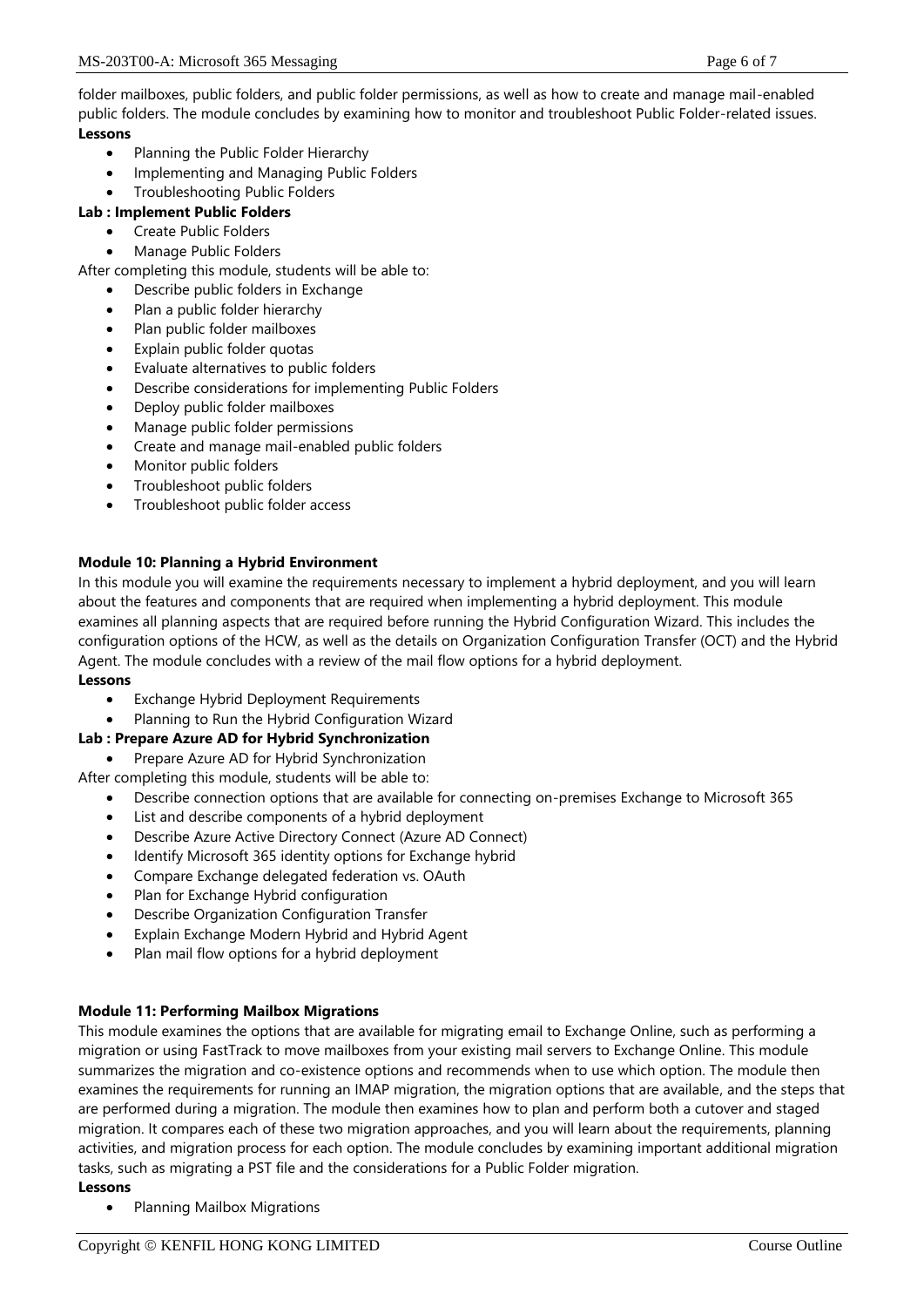folder mailboxes, public folders, and public folder permissions, as well as how to create and manage mail-enabled public folders. The module concludes by examining how to monitor and troubleshoot Public Folder-related issues. **Lessons**

- Planning the Public Folder Hierarchy
- Implementing and Managing Public Folders
- Troubleshooting Public Folders
- **Lab : Implement Public Folders**
	- Create Public Folders
	- Manage Public Folders

After completing this module, students will be able to:

- Describe public folders in Exchange
- Plan a public folder hierarchy
- Plan public folder mailboxes
- Explain public folder quotas
- Evaluate alternatives to public folders
- Describe considerations for implementing Public Folders
- Deploy public folder mailboxes
- Manage public folder permissions
- Create and manage mail-enabled public folders
- Monitor public folders
- Troubleshoot public folders
- Troubleshoot public folder access

# **Module 10: Planning a Hybrid Environment**

In this module you will examine the requirements necessary to implement a hybrid deployment, and you will learn about the features and components that are required when implementing a hybrid deployment. This module examines all planning aspects that are required before running the Hybrid Configuration Wizard. This includes the configuration options of the HCW, as well as the details on Organization Configuration Transfer (OCT) and the Hybrid Agent. The module concludes with a review of the mail flow options for a hybrid deployment. **Lessons**

- Exchange Hybrid Deployment Requirements
- Planning to Run the Hybrid Configuration Wizard

# **Lab : Prepare Azure AD for Hybrid Synchronization**

Prepare Azure AD for Hybrid Synchronization

After completing this module, students will be able to:

- Describe connection options that are available for connecting on-premises Exchange to Microsoft 365
- List and describe components of a hybrid deployment
- Describe Azure Active Directory Connect (Azure AD Connect)
- Identify Microsoft 365 identity options for Exchange hybrid
- Compare Exchange delegated federation vs. OAuth
- Plan for Exchange Hybrid configuration
- Describe Organization Configuration Transfer
- Explain Exchange Modern Hybrid and Hybrid Agent
- Plan mail flow options for a hybrid deployment

## **Module 11: Performing Mailbox Migrations**

This module examines the options that are available for migrating email to Exchange Online, such as performing a migration or using FastTrack to move mailboxes from your existing mail servers to Exchange Online. This module summarizes the migration and co-existence options and recommends when to use which option. The module then examines the requirements for running an IMAP migration, the migration options that are available, and the steps that are performed during a migration. The module then examines how to plan and perform both a cutover and staged migration. It compares each of these two migration approaches, and you will learn about the requirements, planning activities, and migration process for each option. The module concludes by examining important additional migration tasks, such as migrating a PST file and the considerations for a Public Folder migration.

## **Lessons**

• Planning Mailbox Migrations